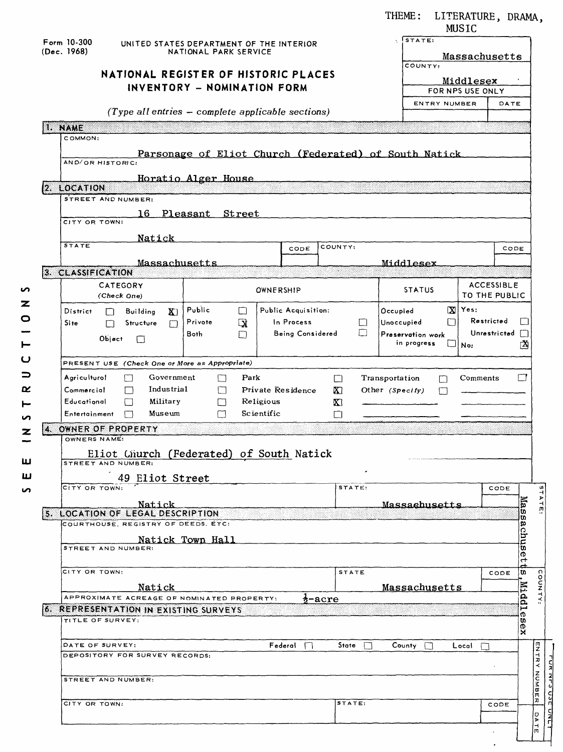| $!$ state:<br>Form 10-300<br>UNITED STATES DEPARTMENT OF THE INTERIOR<br>NATIONAL PARK SERVICE<br>Massachusetts<br>COUNTY:<br>NATIONAL REGISTER OF HISTORIC PLACES<br><u>Middlesex</u><br>INVENTORY - NOMINATION FORM<br>FOR NPS USE ONLY<br>ENTRY NUMBER<br>DATE<br>(Type all entries - complete applicable sections)<br>I. NAME<br>COMMON:<br>Parsonage of Eliot Church (Federated) of South Natick<br>AND/OR HISTORIC:<br>Horatio Alger House<br>2. LOCATION<br>STREET AND NUMBER:<br>16.<br>Pleasant Street<br>CITY OR TOWN:<br>Natick<br><b>STATE</b><br>COUNTY:<br>CODE<br>CODE<br>Massachusetts<br>Middlesex<br>3. CLASSIFICATION<br><b>ACCESSIBLE</b><br>CATEGORY<br><b>STATUS</b><br>OWNERSHIP<br>TO THE PUBLIC<br>(Check One)<br>Yes:<br>Public<br>$\mathbf x$<br>Public Acquisition:<br>Occupied<br>П<br>District<br><b>Building</b><br>$\mathbf{K}$<br>Restricted<br>In Process<br>Privote<br>Unoccupied<br>רו<br>لا⊡<br>Site<br>Structure<br>LI<br>m<br>□<br>Being Considered<br>Unrestricted<br>Both<br>Preservation work<br>$\mathbf{I}$<br>רו<br>Object<br>$\Box$<br>in progress<br>囟<br>L I<br>No:<br>PRESENT USE (Check One or More as Appropriate)<br>Government<br><b>Agricultural</b><br>Park<br>ΓΙ<br>П<br>П<br>Transportation<br>Comments<br>□<br>Industrial<br>Commercial<br>Private Residence<br>П<br>П<br>KΠ<br>Other (Specify)<br>$\vert \ \ \vert$<br>Religious<br>Educational<br>Military<br>K٦<br>U<br>$\mathsf{I}$<br>Scientific<br>Entertainment<br>Museum<br>П<br>П<br>П<br>OWNER OF PROPERTY<br>KS.<br>OWNERS NAME:<br>Eliot Giurch (Federated) of South Natick<br>STREET AND NUMBER:<br>49 Eliot Street<br>STATE:<br>CITY OR TOWN:<br>CODE<br>Mas<br>Natick<br>Massachusetts<br>5. LOCATION OF LEGAL DESCRIPTION<br>m<br>COURTHOUSE, REGISTRY OF DEEDS, ETC:<br>achuset<br>Natick Town Hall<br>STREET AND NUMBER:<br>¢<br>CITY OR TOWN:<br>w<br><b>STATE</b><br>CODE<br><b>Midd1</b><br><b>Massachusetts</b><br>Natick<br>APPROXIMATE ACREAGE OF NOMINATED PROPERTY:<br><del>d</del> -acre<br><b>6. REPRESENTATION IN EXISTING SURVEYS</b><br>v<br>TITLE OF SURVEY:<br>Ü.<br>Ř<br>ΙZ<br>DATE OF SURVEY:<br>$F$ ederal $\Box$<br>State<br>$County$ $\Box$<br>TП<br>$Local \BoxTRY NUMBERDEPOSITORY FOR SURVEY RECORDS:STREET AND NUMBER:STATE:CITY OR TOWN:CODED A\frac{1}{m}$ |             |  |  |  |  |  | THEME: | MUSIC | LITERATURE, DRAMA, |  |  |
|------------------------------------------------------------------------------------------------------------------------------------------------------------------------------------------------------------------------------------------------------------------------------------------------------------------------------------------------------------------------------------------------------------------------------------------------------------------------------------------------------------------------------------------------------------------------------------------------------------------------------------------------------------------------------------------------------------------------------------------------------------------------------------------------------------------------------------------------------------------------------------------------------------------------------------------------------------------------------------------------------------------------------------------------------------------------------------------------------------------------------------------------------------------------------------------------------------------------------------------------------------------------------------------------------------------------------------------------------------------------------------------------------------------------------------------------------------------------------------------------------------------------------------------------------------------------------------------------------------------------------------------------------------------------------------------------------------------------------------------------------------------------------------------------------------------------------------------------------------------------------------------------------------------------------------------------------------------------------------------------------------------------------------------------------------------------------------------------------------------------------------------------------------------------------------------------------------------------------------------------------------------------------------------------------------------|-------------|--|--|--|--|--|--------|-------|--------------------|--|--|
|                                                                                                                                                                                                                                                                                                                                                                                                                                                                                                                                                                                                                                                                                                                                                                                                                                                                                                                                                                                                                                                                                                                                                                                                                                                                                                                                                                                                                                                                                                                                                                                                                                                                                                                                                                                                                                                                                                                                                                                                                                                                                                                                                                                                                                                                                                                  | (Dec. 1968) |  |  |  |  |  |        |       |                    |  |  |
|                                                                                                                                                                                                                                                                                                                                                                                                                                                                                                                                                                                                                                                                                                                                                                                                                                                                                                                                                                                                                                                                                                                                                                                                                                                                                                                                                                                                                                                                                                                                                                                                                                                                                                                                                                                                                                                                                                                                                                                                                                                                                                                                                                                                                                                                                                                  |             |  |  |  |  |  |        |       |                    |  |  |
|                                                                                                                                                                                                                                                                                                                                                                                                                                                                                                                                                                                                                                                                                                                                                                                                                                                                                                                                                                                                                                                                                                                                                                                                                                                                                                                                                                                                                                                                                                                                                                                                                                                                                                                                                                                                                                                                                                                                                                                                                                                                                                                                                                                                                                                                                                                  |             |  |  |  |  |  |        |       |                    |  |  |
|                                                                                                                                                                                                                                                                                                                                                                                                                                                                                                                                                                                                                                                                                                                                                                                                                                                                                                                                                                                                                                                                                                                                                                                                                                                                                                                                                                                                                                                                                                                                                                                                                                                                                                                                                                                                                                                                                                                                                                                                                                                                                                                                                                                                                                                                                                                  |             |  |  |  |  |  |        |       |                    |  |  |
|                                                                                                                                                                                                                                                                                                                                                                                                                                                                                                                                                                                                                                                                                                                                                                                                                                                                                                                                                                                                                                                                                                                                                                                                                                                                                                                                                                                                                                                                                                                                                                                                                                                                                                                                                                                                                                                                                                                                                                                                                                                                                                                                                                                                                                                                                                                  |             |  |  |  |  |  |        |       |                    |  |  |
|                                                                                                                                                                                                                                                                                                                                                                                                                                                                                                                                                                                                                                                                                                                                                                                                                                                                                                                                                                                                                                                                                                                                                                                                                                                                                                                                                                                                                                                                                                                                                                                                                                                                                                                                                                                                                                                                                                                                                                                                                                                                                                                                                                                                                                                                                                                  |             |  |  |  |  |  |        |       |                    |  |  |
|                                                                                                                                                                                                                                                                                                                                                                                                                                                                                                                                                                                                                                                                                                                                                                                                                                                                                                                                                                                                                                                                                                                                                                                                                                                                                                                                                                                                                                                                                                                                                                                                                                                                                                                                                                                                                                                                                                                                                                                                                                                                                                                                                                                                                                                                                                                  |             |  |  |  |  |  |        |       |                    |  |  |
|                                                                                                                                                                                                                                                                                                                                                                                                                                                                                                                                                                                                                                                                                                                                                                                                                                                                                                                                                                                                                                                                                                                                                                                                                                                                                                                                                                                                                                                                                                                                                                                                                                                                                                                                                                                                                                                                                                                                                                                                                                                                                                                                                                                                                                                                                                                  |             |  |  |  |  |  |        |       |                    |  |  |
|                                                                                                                                                                                                                                                                                                                                                                                                                                                                                                                                                                                                                                                                                                                                                                                                                                                                                                                                                                                                                                                                                                                                                                                                                                                                                                                                                                                                                                                                                                                                                                                                                                                                                                                                                                                                                                                                                                                                                                                                                                                                                                                                                                                                                                                                                                                  |             |  |  |  |  |  |        |       |                    |  |  |
|                                                                                                                                                                                                                                                                                                                                                                                                                                                                                                                                                                                                                                                                                                                                                                                                                                                                                                                                                                                                                                                                                                                                                                                                                                                                                                                                                                                                                                                                                                                                                                                                                                                                                                                                                                                                                                                                                                                                                                                                                                                                                                                                                                                                                                                                                                                  |             |  |  |  |  |  |        |       |                    |  |  |
|                                                                                                                                                                                                                                                                                                                                                                                                                                                                                                                                                                                                                                                                                                                                                                                                                                                                                                                                                                                                                                                                                                                                                                                                                                                                                                                                                                                                                                                                                                                                                                                                                                                                                                                                                                                                                                                                                                                                                                                                                                                                                                                                                                                                                                                                                                                  |             |  |  |  |  |  |        |       |                    |  |  |
|                                                                                                                                                                                                                                                                                                                                                                                                                                                                                                                                                                                                                                                                                                                                                                                                                                                                                                                                                                                                                                                                                                                                                                                                                                                                                                                                                                                                                                                                                                                                                                                                                                                                                                                                                                                                                                                                                                                                                                                                                                                                                                                                                                                                                                                                                                                  |             |  |  |  |  |  |        |       |                    |  |  |
|                                                                                                                                                                                                                                                                                                                                                                                                                                                                                                                                                                                                                                                                                                                                                                                                                                                                                                                                                                                                                                                                                                                                                                                                                                                                                                                                                                                                                                                                                                                                                                                                                                                                                                                                                                                                                                                                                                                                                                                                                                                                                                                                                                                                                                                                                                                  |             |  |  |  |  |  |        |       |                    |  |  |
|                                                                                                                                                                                                                                                                                                                                                                                                                                                                                                                                                                                                                                                                                                                                                                                                                                                                                                                                                                                                                                                                                                                                                                                                                                                                                                                                                                                                                                                                                                                                                                                                                                                                                                                                                                                                                                                                                                                                                                                                                                                                                                                                                                                                                                                                                                                  |             |  |  |  |  |  |        |       |                    |  |  |
|                                                                                                                                                                                                                                                                                                                                                                                                                                                                                                                                                                                                                                                                                                                                                                                                                                                                                                                                                                                                                                                                                                                                                                                                                                                                                                                                                                                                                                                                                                                                                                                                                                                                                                                                                                                                                                                                                                                                                                                                                                                                                                                                                                                                                                                                                                                  |             |  |  |  |  |  |        |       |                    |  |  |
|                                                                                                                                                                                                                                                                                                                                                                                                                                                                                                                                                                                                                                                                                                                                                                                                                                                                                                                                                                                                                                                                                                                                                                                                                                                                                                                                                                                                                                                                                                                                                                                                                                                                                                                                                                                                                                                                                                                                                                                                                                                                                                                                                                                                                                                                                                                  |             |  |  |  |  |  |        |       |                    |  |  |
|                                                                                                                                                                                                                                                                                                                                                                                                                                                                                                                                                                                                                                                                                                                                                                                                                                                                                                                                                                                                                                                                                                                                                                                                                                                                                                                                                                                                                                                                                                                                                                                                                                                                                                                                                                                                                                                                                                                                                                                                                                                                                                                                                                                                                                                                                                                  |             |  |  |  |  |  |        |       |                    |  |  |
|                                                                                                                                                                                                                                                                                                                                                                                                                                                                                                                                                                                                                                                                                                                                                                                                                                                                                                                                                                                                                                                                                                                                                                                                                                                                                                                                                                                                                                                                                                                                                                                                                                                                                                                                                                                                                                                                                                                                                                                                                                                                                                                                                                                                                                                                                                                  |             |  |  |  |  |  |        |       |                    |  |  |
|                                                                                                                                                                                                                                                                                                                                                                                                                                                                                                                                                                                                                                                                                                                                                                                                                                                                                                                                                                                                                                                                                                                                                                                                                                                                                                                                                                                                                                                                                                                                                                                                                                                                                                                                                                                                                                                                                                                                                                                                                                                                                                                                                                                                                                                                                                                  |             |  |  |  |  |  |        |       |                    |  |  |
|                                                                                                                                                                                                                                                                                                                                                                                                                                                                                                                                                                                                                                                                                                                                                                                                                                                                                                                                                                                                                                                                                                                                                                                                                                                                                                                                                                                                                                                                                                                                                                                                                                                                                                                                                                                                                                                                                                                                                                                                                                                                                                                                                                                                                                                                                                                  |             |  |  |  |  |  |        |       |                    |  |  |
|                                                                                                                                                                                                                                                                                                                                                                                                                                                                                                                                                                                                                                                                                                                                                                                                                                                                                                                                                                                                                                                                                                                                                                                                                                                                                                                                                                                                                                                                                                                                                                                                                                                                                                                                                                                                                                                                                                                                                                                                                                                                                                                                                                                                                                                                                                                  |             |  |  |  |  |  |        |       |                    |  |  |
|                                                                                                                                                                                                                                                                                                                                                                                                                                                                                                                                                                                                                                                                                                                                                                                                                                                                                                                                                                                                                                                                                                                                                                                                                                                                                                                                                                                                                                                                                                                                                                                                                                                                                                                                                                                                                                                                                                                                                                                                                                                                                                                                                                                                                                                                                                                  |             |  |  |  |  |  |        |       |                    |  |  |
|                                                                                                                                                                                                                                                                                                                                                                                                                                                                                                                                                                                                                                                                                                                                                                                                                                                                                                                                                                                                                                                                                                                                                                                                                                                                                                                                                                                                                                                                                                                                                                                                                                                                                                                                                                                                                                                                                                                                                                                                                                                                                                                                                                                                                                                                                                                  |             |  |  |  |  |  |        |       |                    |  |  |
|                                                                                                                                                                                                                                                                                                                                                                                                                                                                                                                                                                                                                                                                                                                                                                                                                                                                                                                                                                                                                                                                                                                                                                                                                                                                                                                                                                                                                                                                                                                                                                                                                                                                                                                                                                                                                                                                                                                                                                                                                                                                                                                                                                                                                                                                                                                  |             |  |  |  |  |  |        |       |                    |  |  |
|                                                                                                                                                                                                                                                                                                                                                                                                                                                                                                                                                                                                                                                                                                                                                                                                                                                                                                                                                                                                                                                                                                                                                                                                                                                                                                                                                                                                                                                                                                                                                                                                                                                                                                                                                                                                                                                                                                                                                                                                                                                                                                                                                                                                                                                                                                                  |             |  |  |  |  |  |        |       |                    |  |  |
|                                                                                                                                                                                                                                                                                                                                                                                                                                                                                                                                                                                                                                                                                                                                                                                                                                                                                                                                                                                                                                                                                                                                                                                                                                                                                                                                                                                                                                                                                                                                                                                                                                                                                                                                                                                                                                                                                                                                                                                                                                                                                                                                                                                                                                                                                                                  |             |  |  |  |  |  |        |       |                    |  |  |
|                                                                                                                                                                                                                                                                                                                                                                                                                                                                                                                                                                                                                                                                                                                                                                                                                                                                                                                                                                                                                                                                                                                                                                                                                                                                                                                                                                                                                                                                                                                                                                                                                                                                                                                                                                                                                                                                                                                                                                                                                                                                                                                                                                                                                                                                                                                  |             |  |  |  |  |  |        |       |                    |  |  |
|                                                                                                                                                                                                                                                                                                                                                                                                                                                                                                                                                                                                                                                                                                                                                                                                                                                                                                                                                                                                                                                                                                                                                                                                                                                                                                                                                                                                                                                                                                                                                                                                                                                                                                                                                                                                                                                                                                                                                                                                                                                                                                                                                                                                                                                                                                                  |             |  |  |  |  |  |        |       |                    |  |  |
|                                                                                                                                                                                                                                                                                                                                                                                                                                                                                                                                                                                                                                                                                                                                                                                                                                                                                                                                                                                                                                                                                                                                                                                                                                                                                                                                                                                                                                                                                                                                                                                                                                                                                                                                                                                                                                                                                                                                                                                                                                                                                                                                                                                                                                                                                                                  |             |  |  |  |  |  |        |       |                    |  |  |
|                                                                                                                                                                                                                                                                                                                                                                                                                                                                                                                                                                                                                                                                                                                                                                                                                                                                                                                                                                                                                                                                                                                                                                                                                                                                                                                                                                                                                                                                                                                                                                                                                                                                                                                                                                                                                                                                                                                                                                                                                                                                                                                                                                                                                                                                                                                  |             |  |  |  |  |  |        |       |                    |  |  |
|                                                                                                                                                                                                                                                                                                                                                                                                                                                                                                                                                                                                                                                                                                                                                                                                                                                                                                                                                                                                                                                                                                                                                                                                                                                                                                                                                                                                                                                                                                                                                                                                                                                                                                                                                                                                                                                                                                                                                                                                                                                                                                                                                                                                                                                                                                                  |             |  |  |  |  |  |        |       |                    |  |  |
|                                                                                                                                                                                                                                                                                                                                                                                                                                                                                                                                                                                                                                                                                                                                                                                                                                                                                                                                                                                                                                                                                                                                                                                                                                                                                                                                                                                                                                                                                                                                                                                                                                                                                                                                                                                                                                                                                                                                                                                                                                                                                                                                                                                                                                                                                                                  |             |  |  |  |  |  |        |       |                    |  |  |
|                                                                                                                                                                                                                                                                                                                                                                                                                                                                                                                                                                                                                                                                                                                                                                                                                                                                                                                                                                                                                                                                                                                                                                                                                                                                                                                                                                                                                                                                                                                                                                                                                                                                                                                                                                                                                                                                                                                                                                                                                                                                                                                                                                                                                                                                                                                  |             |  |  |  |  |  |        |       |                    |  |  |
|                                                                                                                                                                                                                                                                                                                                                                                                                                                                                                                                                                                                                                                                                                                                                                                                                                                                                                                                                                                                                                                                                                                                                                                                                                                                                                                                                                                                                                                                                                                                                                                                                                                                                                                                                                                                                                                                                                                                                                                                                                                                                                                                                                                                                                                                                                                  |             |  |  |  |  |  |        |       |                    |  |  |
|                                                                                                                                                                                                                                                                                                                                                                                                                                                                                                                                                                                                                                                                                                                                                                                                                                                                                                                                                                                                                                                                                                                                                                                                                                                                                                                                                                                                                                                                                                                                                                                                                                                                                                                                                                                                                                                                                                                                                                                                                                                                                                                                                                                                                                                                                                                  |             |  |  |  |  |  |        |       |                    |  |  |
|                                                                                                                                                                                                                                                                                                                                                                                                                                                                                                                                                                                                                                                                                                                                                                                                                                                                                                                                                                                                                                                                                                                                                                                                                                                                                                                                                                                                                                                                                                                                                                                                                                                                                                                                                                                                                                                                                                                                                                                                                                                                                                                                                                                                                                                                                                                  |             |  |  |  |  |  |        |       |                    |  |  |
|                                                                                                                                                                                                                                                                                                                                                                                                                                                                                                                                                                                                                                                                                                                                                                                                                                                                                                                                                                                                                                                                                                                                                                                                                                                                                                                                                                                                                                                                                                                                                                                                                                                                                                                                                                                                                                                                                                                                                                                                                                                                                                                                                                                                                                                                                                                  |             |  |  |  |  |  |        |       |                    |  |  |
|                                                                                                                                                                                                                                                                                                                                                                                                                                                                                                                                                                                                                                                                                                                                                                                                                                                                                                                                                                                                                                                                                                                                                                                                                                                                                                                                                                                                                                                                                                                                                                                                                                                                                                                                                                                                                                                                                                                                                                                                                                                                                                                                                                                                                                                                                                                  |             |  |  |  |  |  |        |       |                    |  |  |
|                                                                                                                                                                                                                                                                                                                                                                                                                                                                                                                                                                                                                                                                                                                                                                                                                                                                                                                                                                                                                                                                                                                                                                                                                                                                                                                                                                                                                                                                                                                                                                                                                                                                                                                                                                                                                                                                                                                                                                                                                                                                                                                                                                                                                                                                                                                  |             |  |  |  |  |  |        |       |                    |  |  |
|                                                                                                                                                                                                                                                                                                                                                                                                                                                                                                                                                                                                                                                                                                                                                                                                                                                                                                                                                                                                                                                                                                                                                                                                                                                                                                                                                                                                                                                                                                                                                                                                                                                                                                                                                                                                                                                                                                                                                                                                                                                                                                                                                                                                                                                                                                                  |             |  |  |  |  |  |        |       |                    |  |  |
|                                                                                                                                                                                                                                                                                                                                                                                                                                                                                                                                                                                                                                                                                                                                                                                                                                                                                                                                                                                                                                                                                                                                                                                                                                                                                                                                                                                                                                                                                                                                                                                                                                                                                                                                                                                                                                                                                                                                                                                                                                                                                                                                                                                                                                                                                                                  |             |  |  |  |  |  |        |       |                    |  |  |
|                                                                                                                                                                                                                                                                                                                                                                                                                                                                                                                                                                                                                                                                                                                                                                                                                                                                                                                                                                                                                                                                                                                                                                                                                                                                                                                                                                                                                                                                                                                                                                                                                                                                                                                                                                                                                                                                                                                                                                                                                                                                                                                                                                                                                                                                                                                  |             |  |  |  |  |  |        |       |                    |  |  |
|                                                                                                                                                                                                                                                                                                                                                                                                                                                                                                                                                                                                                                                                                                                                                                                                                                                                                                                                                                                                                                                                                                                                                                                                                                                                                                                                                                                                                                                                                                                                                                                                                                                                                                                                                                                                                                                                                                                                                                                                                                                                                                                                                                                                                                                                                                                  |             |  |  |  |  |  |        |       |                    |  |  |
|                                                                                                                                                                                                                                                                                                                                                                                                                                                                                                                                                                                                                                                                                                                                                                                                                                                                                                                                                                                                                                                                                                                                                                                                                                                                                                                                                                                                                                                                                                                                                                                                                                                                                                                                                                                                                                                                                                                                                                                                                                                                                                                                                                                                                                                                                                                  |             |  |  |  |  |  |        |       |                    |  |  |
|                                                                                                                                                                                                                                                                                                                                                                                                                                                                                                                                                                                                                                                                                                                                                                                                                                                                                                                                                                                                                                                                                                                                                                                                                                                                                                                                                                                                                                                                                                                                                                                                                                                                                                                                                                                                                                                                                                                                                                                                                                                                                                                                                                                                                                                                                                                  |             |  |  |  |  |  |        |       |                    |  |  |
|                                                                                                                                                                                                                                                                                                                                                                                                                                                                                                                                                                                                                                                                                                                                                                                                                                                                                                                                                                                                                                                                                                                                                                                                                                                                                                                                                                                                                                                                                                                                                                                                                                                                                                                                                                                                                                                                                                                                                                                                                                                                                                                                                                                                                                                                                                                  |             |  |  |  |  |  |        |       |                    |  |  |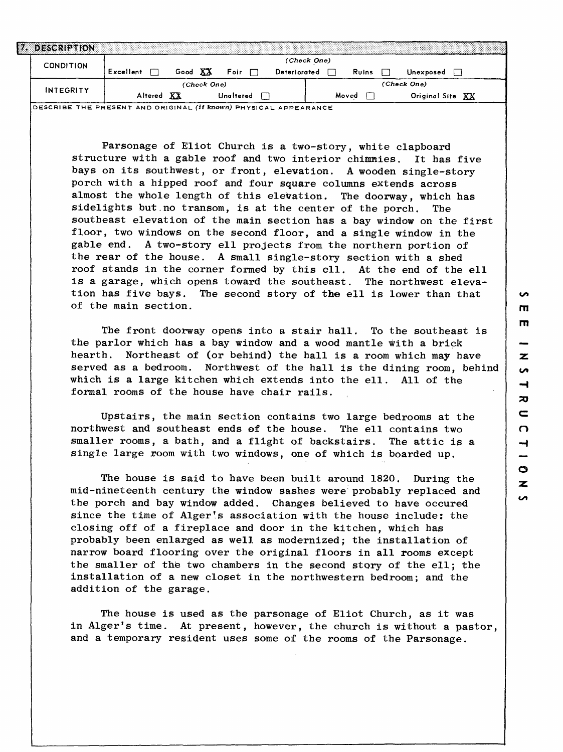| 7. DESCRIPTION                                                                                                 |                                                                                                    |  |  |  |  |  |  |
|----------------------------------------------------------------------------------------------------------------|----------------------------------------------------------------------------------------------------|--|--|--|--|--|--|
| <b>CONDITION</b>                                                                                               | (Check One)                                                                                        |  |  |  |  |  |  |
|                                                                                                                | $Excellent$ $\Box$<br>Good $XX$<br>Foir $\Box$<br>Deteriorated $\Box$<br>Ruins<br>Unexposed $\Box$ |  |  |  |  |  |  |
| INTEGRITY                                                                                                      | (Check One)<br>(Check One)                                                                         |  |  |  |  |  |  |
|                                                                                                                | Altered XX<br>Moved $\Box$<br>Unaltered $\Box$<br>Original Site XX                                 |  |  |  |  |  |  |
|                                                                                                                | DESCRIBE THE PRESENT AND ORIGINAL <i>(if known)</i> PHYSICAL APPEARANCE                            |  |  |  |  |  |  |
|                                                                                                                |                                                                                                    |  |  |  |  |  |  |
|                                                                                                                |                                                                                                    |  |  |  |  |  |  |
|                                                                                                                | Parsonage of Eliot Church is a two-story, white clapboard                                          |  |  |  |  |  |  |
|                                                                                                                | structure with a gable roof and two interior chimmies.<br>It has five                              |  |  |  |  |  |  |
|                                                                                                                | bays on its southwest, or front, elevation. A wooden single-story                                  |  |  |  |  |  |  |
|                                                                                                                | porch with a hipped roof and four square columns extends across                                    |  |  |  |  |  |  |
|                                                                                                                | almost the whole length of this elevation. The doorway, which has                                  |  |  |  |  |  |  |
|                                                                                                                | sidelights but no transom, is at the center of the porch.<br>The                                   |  |  |  |  |  |  |
|                                                                                                                | southeast elevation of the main section has a bay window on the first                              |  |  |  |  |  |  |
|                                                                                                                | floor, two windows on the second floor, and a single window in the                                 |  |  |  |  |  |  |
|                                                                                                                | gable end. A two-story ell projects from the northern portion of                                   |  |  |  |  |  |  |
|                                                                                                                | the rear of the house. A small single-story section with a shed                                    |  |  |  |  |  |  |
|                                                                                                                | roof stands in the corner formed by this ell. At the end of the ell                                |  |  |  |  |  |  |
|                                                                                                                | is a garage, which opens toward the southeast. The northwest eleva-                                |  |  |  |  |  |  |
|                                                                                                                | tion has five bays. The second story of the ell is lower than that                                 |  |  |  |  |  |  |
|                                                                                                                | of the main section.                                                                               |  |  |  |  |  |  |
|                                                                                                                |                                                                                                    |  |  |  |  |  |  |
|                                                                                                                | The front doorway opens into a stair hall. To the southeast is                                     |  |  |  |  |  |  |
|                                                                                                                | the parlor which has a bay window and a wood mantle with a brick                                   |  |  |  |  |  |  |
|                                                                                                                | hearth. Northeast of (or behind) the hall is a room which may have                                 |  |  |  |  |  |  |
| served as a bedroom. Northwest of the hall is the dining room, behind                                          |                                                                                                    |  |  |  |  |  |  |
| which is a large kitchen which extends into the ell. All of the<br>formal rooms of the house have chair rails. |                                                                                                    |  |  |  |  |  |  |
|                                                                                                                |                                                                                                    |  |  |  |  |  |  |
|                                                                                                                | Upstairs, the main section contains two large bedrooms at the                                      |  |  |  |  |  |  |
|                                                                                                                | northwest and southeast ends of the house. The ell contains two                                    |  |  |  |  |  |  |
|                                                                                                                | smaller rooms, a bath, and a flight of backstairs. The attic is a                                  |  |  |  |  |  |  |
|                                                                                                                | single large room with two windows, one of which is boarded up.                                    |  |  |  |  |  |  |
|                                                                                                                |                                                                                                    |  |  |  |  |  |  |
|                                                                                                                | The house is said to have been built around 1820.<br>During the                                    |  |  |  |  |  |  |

mid-nineteenth century the window sashes were probably replaced and the porch and bay window added. Changes believed to have occured since the time of Alger's association with the house include: the closing off of a fireplace and door in the kitchen, which has probably been enlarged as well as modernized; the installation of narrow board flooring over the original floors in all rooms except the smaller of the two chambers in the second story of the ell; the installation of a new closet in the northwestern bedroom; and the addition of the garage.

The house is used as the parsonage of Eliot Church, as it was in Alger's time. At present, however, the church is without a pastor, and a temporary resident uses some of the rooms of the Parsonage.

**i**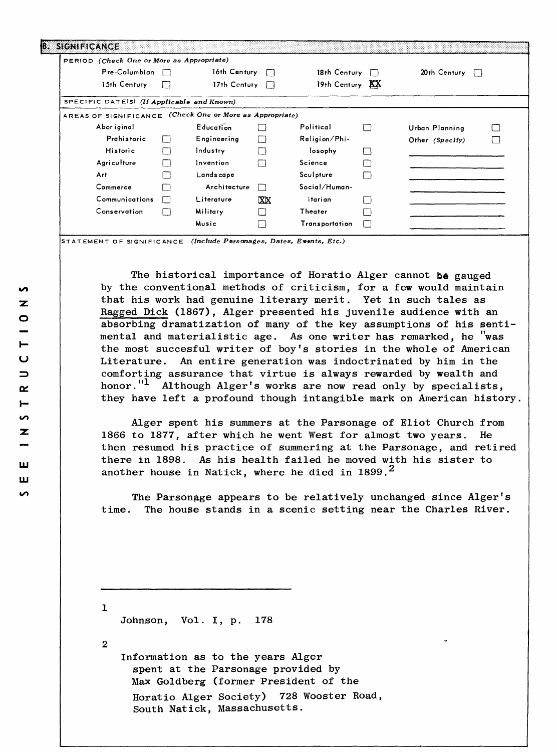| PERIOD (Check One or More as Appropriate)                |                   |                  |                        |                 |                     |                     |  |  |
|----------------------------------------------------------|-------------------|------------------|------------------------|-----------------|---------------------|---------------------|--|--|
| Pre-Columbian                                            |                   |                  | 16th Century<br>$\Box$ |                 | 18th Century $\Box$ | 20th Century $\Box$ |  |  |
| 15th Century                                             | П                 | 17th Century     | $\Box$                 | 19th Century KX |                     |                     |  |  |
| SPECIFIC DATE(S) (If Applicable and Known)               |                   |                  |                        |                 |                     |                     |  |  |
| AREAS OF SIGNIFICANCE (Check One or More as Appropriate) |                   |                  |                        |                 |                     |                     |  |  |
| Abor iginal                                              |                   | <b>Education</b> |                        | Political       | П                   | Urban Planning      |  |  |
| Prehistoric                                              |                   | Engineering      | $\mathbf{1}$           | Religion/Phi-   |                     | Other (Specify)     |  |  |
| <b>Historic</b>                                          |                   | Industry         |                        | losophy         |                     |                     |  |  |
| Agriculture                                              | $\left\{ \right.$ | Invention        | П                      | Science         |                     |                     |  |  |
| Art                                                      |                   | Landscape        |                        | Sculpture       |                     |                     |  |  |
| Commerce                                                 |                   | Architecture     |                        | Social/Human-   |                     |                     |  |  |
| Communications                                           |                   | Literature       | <b>XX</b>              | itarian         |                     |                     |  |  |
| Conservation                                             |                   | <b>Military</b>  | ┌─                     | Theater         |                     |                     |  |  |
|                                                          |                   | Music            |                        | Transportation  | $\mathsf{L}$        |                     |  |  |

STATEMENT OF SIGNIFICANCE *(Include Personages, Dates, E\*\*nts, Etc.)*

The historical importance of Horatio Alger cannot  $b\theta$  gauged by the conventional methods of criticism, for a few would maintain that his work had genuine literary merit. Yet in such tales as Ragged Dick (1867), Alger presented his juvenile audience with an absorbing dramatization of many of the key assumptions of his sentimental and materialistic age. As one writer has remarked, he "was the most succesful writer of boy's stories in the whole of American Literature. An entire generation was indoctrinated by him in the comforting assurance that virtue is always rewarded by wealth and honor."<sup>1</sup> Although Alger's works are now read only by specialists, they have left a profound though intangible mark on American history

Alger spent his summers at the Parsonage of Eliot Church from 1866 to 1877, after which he went West for almost two years. He then resumed his practice of summering at the Parsonage, and retired there in 1898. As his health failed he moved with his sister to another house in Natick, where he died in  $1899.^2$ 

The Parsonage appears to be relatively unchanged since Alger's time. The house stands in a scenic setting near the Charles River.

 $\mathbf{I}$ Johnson, Vol. I, p. 178

 $\mathbf{2}$ 

Information as to the years Alger spent at the Parsonage provided by Max Goldberg (former President of the Horatio Alger Society) 728 Wooster Road, South Natick, Massachusetts.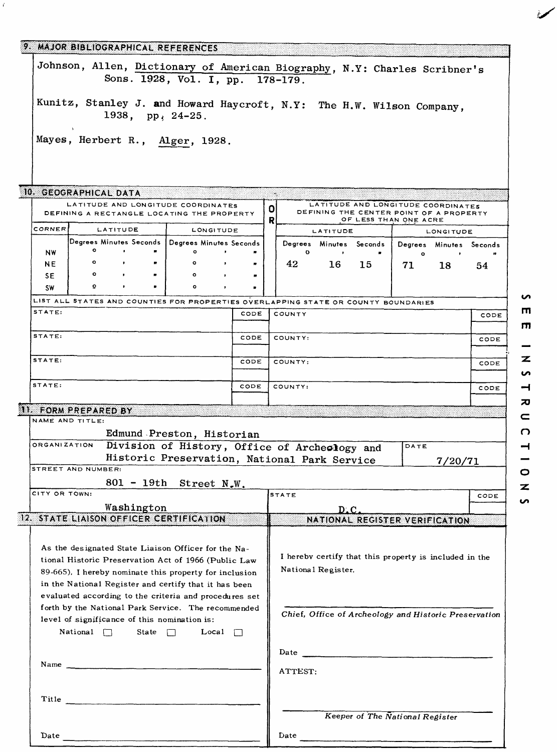|                                                                           | MAJOR BIBLIOGRAPHICAL REFERENCES                                                                                                                                                                                                                                                                                                                |                                               |      |         |         |                    |                         |                                                        |                  |      |
|---------------------------------------------------------------------------|-------------------------------------------------------------------------------------------------------------------------------------------------------------------------------------------------------------------------------------------------------------------------------------------------------------------------------------------------|-----------------------------------------------|------|---------|---------|--------------------|-------------------------|--------------------------------------------------------|------------------|------|
|                                                                           | Johnson, Allen, Dictionary of American Biography, N.Y: Charles Scribner's                                                                                                                                                                                                                                                                       | Sons. 1928, Vol. I, pp. 178-179.              |      |         |         |                    |                         |                                                        |                  |      |
|                                                                           | Kunitz, Stanley J. and Howard Haycroft, N.Y: The H.W. Wilson Company,<br>1938, $pp$ , 24-25.                                                                                                                                                                                                                                                    |                                               |      |         |         |                    |                         |                                                        |                  |      |
|                                                                           | Mayes, Herbert R., Alger, 1928.                                                                                                                                                                                                                                                                                                                 |                                               |      |         |         |                    |                         |                                                        |                  |      |
|                                                                           |                                                                                                                                                                                                                                                                                                                                                 |                                               |      |         |         |                    |                         |                                                        |                  |      |
|                                                                           | 10. GEOGRAPHICAL DATA<br>LATITUDE AND LONGITUDE COORDINATES                                                                                                                                                                                                                                                                                     |                                               |      |         |         |                    |                         | LATITUDE AND LONGITUDE COORDINATES                     |                  |      |
|                                                                           | DEFINING A RECTANGLE LOCATING THE PROPERTY                                                                                                                                                                                                                                                                                                      |                                               |      | 0       |         |                    |                         | DEFINING THE CENTER POINT OF A PROPERTY                |                  |      |
| CORNER                                                                    | LATITUDE                                                                                                                                                                                                                                                                                                                                        | LONGITUDE                                     |      | R       |         | LATITUDE           |                         | OF LESS THAN ONE ACRE                                  | <b>LONGITUDE</b> |      |
|                                                                           | Degrees Minutes Seconds   Degrees Minutes Seconds                                                                                                                                                                                                                                                                                               |                                               |      |         |         |                    | Degrees Minutes Seconds | Degrees Minutes Seconds                                |                  |      |
| NW.                                                                       | ۰                                                                                                                                                                                                                                                                                                                                               | ۰<br>$\bullet$                                |      |         | o       | $\bullet$          |                         | $\circ$                                                | $\sim$           |      |
| NE.<br>SE.                                                                | $\bullet$<br>$\pmb{m}$                                                                                                                                                                                                                                                                                                                          | $\bullet$<br>۰<br>$\bullet$                   |      |         | 42      | 16                 | 15                      | 71 —                                                   | 18               | 54   |
| <b>SW</b>                                                                 | ō                                                                                                                                                                                                                                                                                                                                               | $\circ$<br>$\bullet$                          |      |         |         |                    |                         |                                                        |                  |      |
|                                                                           | LIST ALL STATES AND COUNTIES FOR PROPERTIES OVERLAPPING STATE OR COUNTY BOUNDARIES                                                                                                                                                                                                                                                              |                                               |      |         |         |                    |                         |                                                        |                  |      |
| STATE:                                                                    |                                                                                                                                                                                                                                                                                                                                                 |                                               | CODE |         | COUNTY  |                    |                         |                                                        |                  | CODE |
|                                                                           |                                                                                                                                                                                                                                                                                                                                                 |                                               |      |         |         |                    |                         |                                                        |                  |      |
| STATE:                                                                    |                                                                                                                                                                                                                                                                                                                                                 |                                               | CODE |         | COUNTY: |                    |                         |                                                        |                  | CODE |
| STATE:                                                                    |                                                                                                                                                                                                                                                                                                                                                 |                                               | CODE | COUNTY: |         |                    |                         |                                                        | CODE             |      |
| STATE:                                                                    |                                                                                                                                                                                                                                                                                                                                                 |                                               |      |         |         |                    |                         |                                                        |                  |      |
|                                                                           |                                                                                                                                                                                                                                                                                                                                                 |                                               | CODE |         | COUNTY: |                    |                         |                                                        |                  | CODE |
|                                                                           | 11. FORM PREPARED BY                                                                                                                                                                                                                                                                                                                            |                                               |      |         |         |                    |                         |                                                        |                  |      |
|                                                                           | NAME AND TITLE:                                                                                                                                                                                                                                                                                                                                 |                                               |      |         |         |                    |                         |                                                        |                  |      |
|                                                                           |                                                                                                                                                                                                                                                                                                                                                 | Edmund Preston, Historian                     |      |         |         |                    |                         |                                                        |                  |      |
| <b>ORGANIZATION</b>                                                       |                                                                                                                                                                                                                                                                                                                                                 | Division of History, Office of Archeology and |      |         |         |                    |                         | DATE                                                   |                  |      |
|                                                                           | STREET AND NUMBER:                                                                                                                                                                                                                                                                                                                              | Historic Preservation, National Park Service  |      |         |         |                    |                         |                                                        | 7/20/71          |      |
|                                                                           |                                                                                                                                                                                                                                                                                                                                                 | 801 - 19th Street N.W                         |      |         |         |                    |                         |                                                        |                  |      |
| CITY OR TOWN:                                                             |                                                                                                                                                                                                                                                                                                                                                 |                                               |      |         | STATE   |                    |                         |                                                        |                  | CODE |
|                                                                           | Washington                                                                                                                                                                                                                                                                                                                                      |                                               |      |         |         | D.C.               |                         |                                                        |                  |      |
|                                                                           | 12. STATE LIAISON OFFICER CERTIFICATION                                                                                                                                                                                                                                                                                                         |                                               |      |         |         |                    |                         | NATIONAL REGISTER VERIFICATION                         |                  |      |
|                                                                           | As the designated State Liaison Officer for the Na-<br>tional Historic Preservation Act of 1966 (Public Law<br>89-665). I hereby nominate this property for inclusion<br>in the National Register and certify that it has been<br>evaluated according to the criteria and procedures set<br>forth by the National Park Service. The recommended |                                               |      |         |         | National Register. |                         | I hereby certify that this property is included in the |                  |      |
|                                                                           | level of significance of this nomination is:<br>National $\Box$<br>State $\Box$                                                                                                                                                                                                                                                                 | Local $\Box$                                  |      |         |         |                    |                         | Chief, Office of Archeology and Historic Preservation  |                  |      |
| Name $\frac{1}{\sqrt{1-\frac{1}{2}}\left(\frac{1}{2}-\frac{1}{2}\right)}$ |                                                                                                                                                                                                                                                                                                                                                 |                                               |      |         | ATTEST: |                    |                         |                                                        |                  |      |
|                                                                           |                                                                                                                                                                                                                                                                                                                                                 |                                               |      |         |         |                    |                         | Keeper of The National Register                        |                  |      |
|                                                                           |                                                                                                                                                                                                                                                                                                                                                 |                                               |      |         | Date    |                    |                         |                                                        |                  |      |
| Date                                                                      |                                                                                                                                                                                                                                                                                                                                                 |                                               |      |         |         |                    |                         |                                                        |                  |      |

 $\vec{r}$ 

 $\blacksquare$  $\mathsf{m}$  $\overline{\phantom{0}}$  $\overline{\mathbf{z}}$  $\overline{v}$  $\rightarrow$  $\overline{\mathbf{x}}$  $\subset$  $\Omega$  $\blacksquare$  $\overline{\phantom{0}}$  $\bullet$  $\overline{\mathbf{z}}$  $\mathbf{v}$ 

 $\bullet$ 

ممرغ